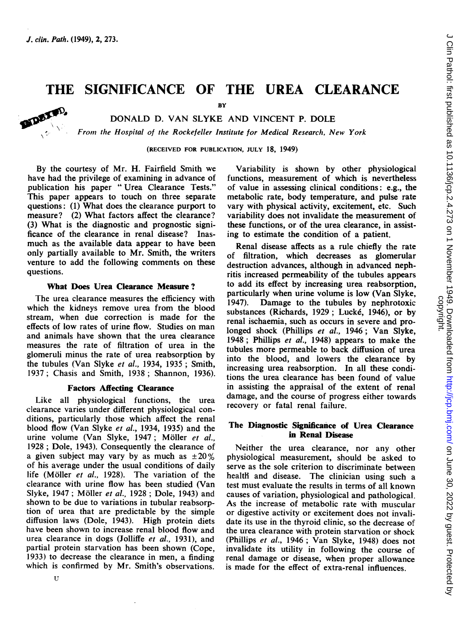folo<sup>0</sup> VOO \ .:. Al-

# THE SIGNIFICANCE OF THE UREA CLEARANCE

BY

## DONALD D. VAN SLYKE AND VINCENT P. DOLE

From the Hospital of the Rockefeller Institute for Medical Research, New York

(RECEIVED FOR PUBLICATION, JULY 18, 1949)

By the courtesy of Mr. H. Fairfield Smith we have had the privilege of examining in advance of publication his paper " Urea Clearance Tests." This paper appears to touch on three separate questions: (1) What does the clearance purport to measure? (2) What factors affect the clearance? (3) What is the diagnostic and prognostic significance of the clearance in renal disease? Inasmuch as the available data appear to have been only partially available to Mr. Smith, the writers venture to add the following comments on these questions.

# What Does Urea Clearance Measure ?

The urea clearance measures the efficiency with which the kidneys remove urea from the blood stream, when due correction is made for the effects of low rates of urine flow. Studies on man and animals have shown that the urea clearance measures the rate of filtration of urea in the glomeruli minus the rate of urea reabsorption by the tubules (Van Slyke et al., 1934, 1935; Smith, 1937; Chasis and Smith, 1938; Shannon, 1936).

### Factors Affecting Clearance

Like all physiological functions, the urea clearance varies under different physiological conditions, particularly those which affect the renal blood flow (Van Slyke et al., 1934, 1935) and the urine volume (Van Slyke, 1947; Möller et al., 1928; Dole, 1943). Consequently the clearance of a given subject may vary by as much as  $\pm 20\%$ of his average under the usual conditions of daily life (Moller et al., 1928). The variation of the clearance with urine flow has been studied (Van Slyke, 1947; Möller et al., 1928; Dole, 1943) and shown to be due to variations in tubular reabsorption of urea that are predictable by the simple diffusion laws (Dole, 1943). High protein diets have been shown to increase renal blood flow and urea clearance in dogs (Jolliffe et al., 1931), and partial protein starvation has been shown (Cope, 1933) to decrease the clearance in men, a finding which is confirmed by Mr. Smith's observations.

Variability is shown by other physiological functions, measurement of which is nevertheless of value in assessing clinical conditions: e.g., the metabolic rate, body temperature, and pulse rate vary with physical activity, excitement, etc. Such variability does not invalidate the measurement of these functions, or of the urea clearance, in assisting to estimate the condition of a patient.

Renal disease affects as a rule chiefly the rate of filtration, which decreases as glomerular destruction advances, although in advanced nephritis increased permeability of the tubules appears to add its effect by increasing urea reabsorption, particularly when urine volume is low (Van Slyke, 1947). Damage to the tubules by nephrotoxic Damage to the tubules by nephrotoxic substances (Richards, 1929; Lucké, 1946), or by renal ischaemia, such as occurs in severe and prolonged shock (Phillips et al., 1946; Van Slyke, 1948; Phillips et al., 1948) appears to make the tubules more permeable to back diffusion of urea into the blood, and lowers the clearance by increasing urea reabsorption. In all these conditions the urea clearance has been found of value in assisting the appraisal of the extent of renal damage, and the course of progress either towards recovery or fatal renal failure.

# The Diagnostic Significance of Urea Clearance in Renal Disease

Neither the urea clearance, nor any other physiological measurement, should be asked to serve as the sole criterion to discriminate between health and disease. The clinician using such a test must evaluate the results in terms of all known causes of variation, physiological and pathological. As the increase of metabolic rate with muscular or digestive activity or excitement does not invalidate its use in the thyroid clinic, so the decrease of the urea clearance with protein starvation or shock (Phillips et al., 1946; Van Slyke, 1948) does not invalidate its utility in following the course of renal damage or disease, when proper allowance is made for the effect of extra-renal influences.